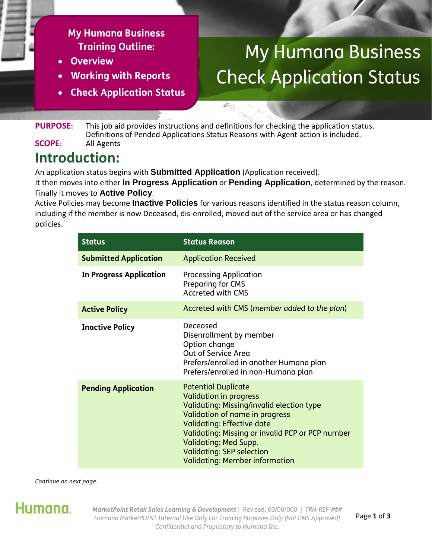#### **My Humana Business Training Outline:**

- **Overview**
- **Working with Reports**
- **Check Application Status**

# My Humana Business Check Application Status

**PURPOSE:** This job aid provides instructions and definitions for checking the application status. Definitions of Pended Applications Status Reasons with Agent action is included. **SCOPE:** All Agents

### **Introduction:**

An application status begins with **Submitted Application** (Application received).

It then moves into either **In Progress Application** or **Pending Application**, determined by the reason. Finally it moves to **Active Policy**.

 $\mathcal{L}_{\tilde{C}_{L}^{\prime}}$ 

Active Policies may become **Inactive Policies** for various reasons identified in the status reason column, including if the member is now Deceased, dis-enrolled, moved out of the service area or has changed policies.

| <b>Status</b>                  | <b>Status Reason</b>                                                                                                                                                                                                                                                                                                                             |  |
|--------------------------------|--------------------------------------------------------------------------------------------------------------------------------------------------------------------------------------------------------------------------------------------------------------------------------------------------------------------------------------------------|--|
| <b>Submitted Application</b>   | <b>Application Received</b>                                                                                                                                                                                                                                                                                                                      |  |
| <b>In Progress Application</b> | <b>Processing Application</b><br>Preparing for CMS<br><b>Accreted with CMS</b>                                                                                                                                                                                                                                                                   |  |
| <b>Active Policy</b>           | Accreted with CMS (member added to the plan)                                                                                                                                                                                                                                                                                                     |  |
| <b>Inactive Policy</b>         | Deceased<br>Disenrollment by member<br>Option change<br>Out of Service Area<br>Prefers/enrolled in another Humana plan<br>Prefers/enrolled in non-Humana plan                                                                                                                                                                                    |  |
| <b>Pending Application</b>     | <b>Potential Duplicate</b><br><b>Validation in progress</b><br>Validating: Missing/invalid election type<br>Validation of name in progress<br><b>Validating: Effective date</b><br>Validating: Missing or invalid PCP or PCP number<br><b>Validating: Med Supp.</b><br><b>Validating: SEP selection</b><br><b>Validating: Member information</b> |  |

*Continue on next page.*



*MarketPoint Retail Sales Learning & Development* | Revised: 00/00/000 | *TRN-REF-### Humana MarketPOINT Internal Use Only For Training Purposes Only (Not CMS Approved) Confidential and Proprietary to Humana Inc.*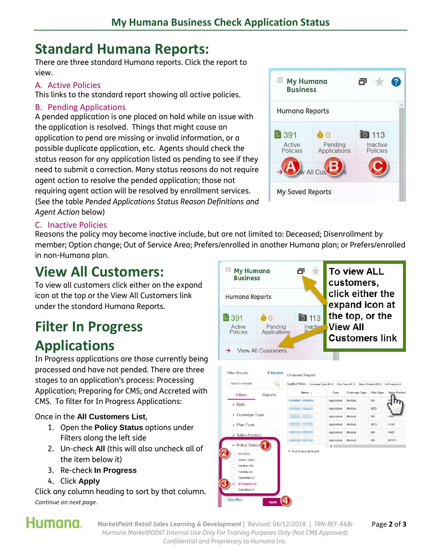### **Standard Humana Reports:**

There are three standard Humana reports. Click the report to view.

#### A. Active Policies

This links to the standard report showing all active policies.

#### B. Pending Applications

A pended application is one placed on hold while an issue with the application is resolved. Things that might cause an application to pend are missing or invalid information, or a possible duplicate application, etc. Agents should check the status reason for any application listed as pending to see if they need to submit a correction. Many status reasons do not require agent action to resolve the pended application; those not requiring agent action will be resolved by enrollment services. (See the table *Pended Applications Status Reason Definitions and Agent Action* below)



#### C. Inactive Policies

Reasons the policy may become inactive include, but are not limited to: Deceased; Disenrollment by member; Option change; Out of Service Area; Prefers/enrolled in another Humana plan; or Prefers/enrolled in non-Humana plan.

### **View All Customers:**

To view all customers click either on the expand icon at the top or the View All Customers link under the standard Humana Reports.

# **Filter In Progress Applications**

In Progress applications are those currently being processed and have not pended. There are three stages to an application's process: Processing Application; Preparing for CMS; and Accreted with CMS. To filter for In Progress Applications:

#### Once in the **All Customers List**,

- 1. Open the **Policy Status** options under Filters along the left side
- 2. Un-check **All** (this will also uncheck all of the item below it)
- 3. Re-check **In Progress**
- 4. Click **Apply**

Click any column heading to sort by that column. *Continue on next page.*





# Humana.

*MarketPoint Retail Sales Learning & Development* | Revised: 06/12/2018 | *TRN-REF-868r* Page **2** of **3** *Humana MarketPOINT Internal Use Only For Training Purposes Only (Not CMS Approved) Confidential and Proprietary to Humana Inc.*